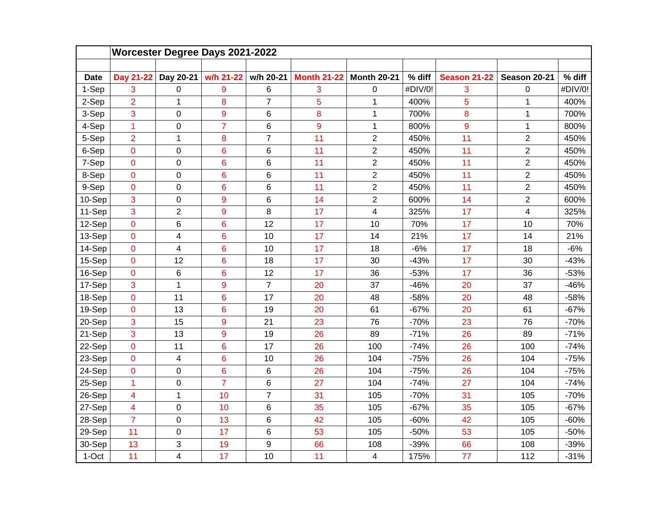|             | <b>Worcester Degree Days 2021-2022</b> |                |                  |                |                    |                         |         |                     |                         |         |  |  |  |
|-------------|----------------------------------------|----------------|------------------|----------------|--------------------|-------------------------|---------|---------------------|-------------------------|---------|--|--|--|
|             |                                        |                |                  |                |                    |                         |         |                     |                         |         |  |  |  |
| <b>Date</b> | Day 21-22                              | Day 20-21      | w/h 21-22        | w/h 20-21      | <b>Month 21-22</b> | <b>Month 20-21</b>      | % diff  | <b>Season 21-22</b> | Season 20-21            | % diff  |  |  |  |
| 1-Sep       | 3                                      | 0              | 9                | 6              | 3                  | $\boldsymbol{0}$        | #DIV/0! | 3                   | 0                       | #DIV/0! |  |  |  |
| 2-Sep       | $\overline{2}$                         | 1              | 8                | $\overline{7}$ | 5                  | 1                       | 400%    | 5                   | 1                       | 400%    |  |  |  |
| 3-Sep       | 3                                      | 0              | $\boldsymbol{9}$ | 6              | 8                  | $\mathbf 1$             | 700%    | 8                   | $\mathbf{1}$            | 700%    |  |  |  |
| 4-Sep       | 1                                      | 0              | $\overline{7}$   | 6              | 9                  | 1                       | 800%    | 9                   | $\mathbf{1}$            | 800%    |  |  |  |
| 5-Sep       | $\overline{2}$                         | $\mathbf{1}$   | 8                | $\overline{7}$ | 11                 | $\overline{2}$          | 450%    | 11                  | $\overline{2}$          | 450%    |  |  |  |
| 6-Sep       | $\mathbf 0$                            | 0              | $\overline{6}$   | 6              | 11                 | $\overline{2}$          | 450%    | 11                  | $\overline{c}$          | 450%    |  |  |  |
| 7-Sep       | $\mathbf 0$                            | 0              | 6                | 6              | 11                 | $\overline{2}$          | 450%    | 11                  | $\overline{2}$          | 450%    |  |  |  |
| 8-Sep       | $\mathbf 0$                            | 0              | 6                | 6              | 11                 | $\overline{2}$          | 450%    | 11                  | $\overline{2}$          | 450%    |  |  |  |
| 9-Sep       | $\pmb{0}$                              | 0              | 6                | 6              | 11                 | $\overline{2}$          | 450%    | 11                  | $\overline{2}$          | 450%    |  |  |  |
| 10-Sep      | 3                                      | 0              | 9                | 6              | 14                 | $\overline{c}$          | 600%    | 14                  | $\overline{c}$          | 600%    |  |  |  |
| 11-Sep      | 3                                      | $\overline{2}$ | 9                | 8              | 17                 | $\overline{\mathbf{4}}$ | 325%    | 17                  | $\overline{\mathbf{4}}$ | 325%    |  |  |  |
| 12-Sep      | $\mathbf 0$                            | 6              | 6                | 12             | 17                 | 10                      | 70%     | 17                  | 10                      | 70%     |  |  |  |
| 13-Sep      | $\mathbf 0$                            | 4              | $6\phantom{a}$   | 10             | 17                 | 14                      | 21%     | 17                  | 14                      | 21%     |  |  |  |
| 14-Sep      | $\overline{0}$                         | 4              | 6                | 10             | 17                 | 18                      | $-6%$   | 17                  | 18                      | $-6%$   |  |  |  |
| 15-Sep      | $\overline{0}$                         | 12             | 6                | 18             | 17                 | 30                      | $-43%$  | 17                  | 30                      | $-43%$  |  |  |  |
| 16-Sep      | $\mathbf 0$                            | 6              | 6                | 12             | 17                 | 36                      | $-53%$  | 17                  | 36                      | $-53%$  |  |  |  |
| 17-Sep      | 3                                      | $\mathbf{1}$   | 9                | $\overline{7}$ | 20                 | 37                      | $-46%$  | 20                  | 37                      | $-46%$  |  |  |  |
| 18-Sep      | $\mathbf 0$                            | 11             | $6\phantom{a}$   | 17             | 20                 | 48                      | $-58%$  | 20                  | 48                      | $-58%$  |  |  |  |
| 19-Sep      | $\mathbf 0$                            | 13             | 6                | 19             | 20                 | 61                      | $-67%$  | 20                  | 61                      | $-67%$  |  |  |  |
| 20-Sep      | 3                                      | 15             | 9                | 21             | 23                 | 76                      | $-70%$  | 23                  | 76                      | $-70%$  |  |  |  |
| 21-Sep      | 3                                      | 13             | 9                | 19             | 26                 | 89                      | $-71%$  | 26                  | 89                      | $-71%$  |  |  |  |
| 22-Sep      | $\mathbf 0$                            | 11             | $\overline{6}$   | 17             | 26                 | 100                     | $-74%$  | 26                  | 100                     | $-74%$  |  |  |  |
| 23-Sep      | $\mathbf 0$                            | 4              | $6\phantom{a}$   | 10             | 26                 | 104                     | $-75%$  | 26                  | 104                     | $-75%$  |  |  |  |
| 24-Sep      | $\mathbf 0$                            | 0              | 6                | 6              | 26                 | 104                     | $-75%$  | 26                  | 104                     | $-75%$  |  |  |  |
| 25-Sep      | 1                                      | 0              | $\overline{7}$   | 6              | 27                 | 104                     | $-74%$  | 27                  | 104                     | $-74%$  |  |  |  |
| 26-Sep      | 4                                      | $\mathbf{1}$   | 10               | $\overline{7}$ | 31                 | 105                     | $-70%$  | 31                  | 105                     | $-70%$  |  |  |  |
| 27-Sep      | $\overline{\mathbf{4}}$                | 0              | 10               | 6              | 35                 | 105                     | $-67%$  | 35                  | 105                     | $-67%$  |  |  |  |
| 28-Sep      | $\overline{7}$                         | 0              | 13               | 6              | 42                 | 105                     | $-60%$  | 42                  | 105                     | $-60%$  |  |  |  |
| 29-Sep      | 11                                     | 0              | 17               | 6              | 53                 | 105                     | $-50%$  | 53                  | 105                     | $-50%$  |  |  |  |
| 30-Sep      | 13                                     | 3              | 19               | 9              | 66                 | 108                     | $-39%$  | 66                  | 108                     | $-39%$  |  |  |  |
| 1-Oct       | 11                                     | 4              | 17               | 10             | 11                 | $\overline{4}$          | 175%    | 77                  | 112                     | $-31%$  |  |  |  |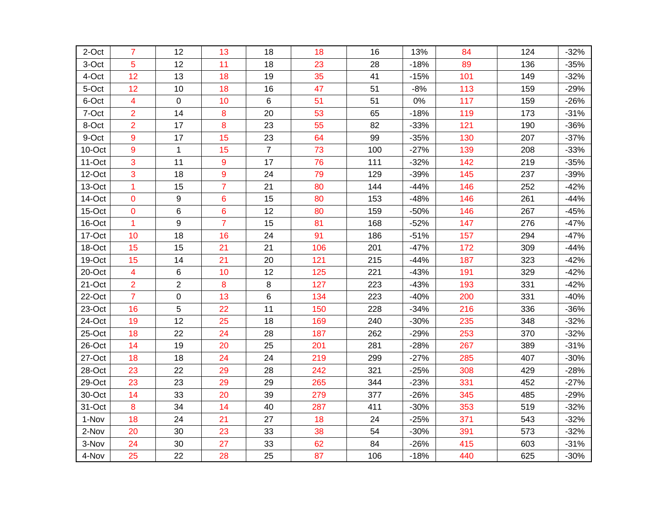| 2-Oct  | $\overline{7}$          | 12             | 13             | 18             | 18  | 16  | 13%    | 84  | 124 | $-32%$ |
|--------|-------------------------|----------------|----------------|----------------|-----|-----|--------|-----|-----|--------|
| 3-Oct  | 5                       | 12             | 11             | 18             | 23  | 28  | $-18%$ | 89  | 136 | $-35%$ |
| 4-Oct  | 12                      | 13             | 18             | 19             | 35  | 41  | $-15%$ | 101 | 149 | $-32%$ |
| 5-Oct  | 12                      | 10             | 18             | 16             | 47  | 51  | $-8%$  | 113 | 159 | $-29%$ |
| 6-Oct  | 4                       | 0              | 10             | 6              | 51  | 51  | $0\%$  | 117 | 159 | $-26%$ |
| 7-Oct  | $\overline{2}$          | 14             | 8              | 20             | 53  | 65  | $-18%$ | 119 | 173 | $-31%$ |
| 8-Oct  | $\overline{2}$          | 17             | 8              | 23             | 55  | 82  | $-33%$ | 121 | 190 | $-36%$ |
| 9-Oct  | 9                       | 17             | 15             | 23             | 64  | 99  | $-35%$ | 130 | 207 | $-37%$ |
| 10-Oct | 9                       | $\mathbf{1}$   | 15             | $\overline{7}$ | 73  | 100 | $-27%$ | 139 | 208 | $-33%$ |
| 11-Oct | 3                       | 11             | 9              | 17             | 76  | 111 | $-32%$ | 142 | 219 | $-35%$ |
| 12-Oct | 3                       | 18             | 9              | 24             | 79  | 129 | $-39%$ | 145 | 237 | $-39%$ |
| 13-Oct | 1                       | 15             | $\overline{7}$ | 21             | 80  | 144 | $-44%$ | 146 | 252 | $-42%$ |
| 14-Oct | 0                       | 9              | 6              | 15             | 80  | 153 | $-48%$ | 146 | 261 | $-44%$ |
| 15-Oct | 0                       | 6              | 6              | 12             | 80  | 159 | $-50%$ | 146 | 267 | $-45%$ |
| 16-Oct | 1                       | 9              | $\overline{7}$ | 15             | 81  | 168 | $-52%$ | 147 | 276 | $-47%$ |
| 17-Oct | 10                      | 18             | 16             | 24             | 91  | 186 | $-51%$ | 157 | 294 | $-47%$ |
| 18-Oct | 15                      | 15             | 21             | 21             | 106 | 201 | $-47%$ | 172 | 309 | $-44%$ |
| 19-Oct | 15                      | 14             | 21             | 20             | 121 | 215 | $-44%$ | 187 | 323 | $-42%$ |
| 20-Oct | $\overline{\mathbf{4}}$ | 6              | 10             | 12             | 125 | 221 | $-43%$ | 191 | 329 | $-42%$ |
| 21-Oct | $\overline{2}$          | $\overline{c}$ | 8              | 8              | 127 | 223 | $-43%$ | 193 | 331 | $-42%$ |
| 22-Oct | $\overline{7}$          | $\mathsf 0$    | 13             | 6              | 134 | 223 | $-40%$ | 200 | 331 | $-40%$ |
| 23-Oct | 16                      | 5              | 22             | 11             | 150 | 228 | $-34%$ | 216 | 336 | $-36%$ |
| 24-Oct | 19                      | 12             | 25             | 18             | 169 | 240 | $-30%$ | 235 | 348 | $-32%$ |
| 25-Oct | 18                      | 22             | 24             | 28             | 187 | 262 | $-29%$ | 253 | 370 | $-32%$ |
| 26-Oct | 14                      | 19             | 20             | 25             | 201 | 281 | $-28%$ | 267 | 389 | $-31%$ |
| 27-Oct | 18                      | 18             | 24             | 24             | 219 | 299 | $-27%$ | 285 | 407 | $-30%$ |
| 28-Oct | 23                      | 22             | 29             | 28             | 242 | 321 | $-25%$ | 308 | 429 | $-28%$ |
| 29-Oct | 23                      | 23             | 29             | 29             | 265 | 344 | $-23%$ | 331 | 452 | $-27%$ |
| 30-Oct | 14                      | 33             | 20             | 39             | 279 | 377 | $-26%$ | 345 | 485 | $-29%$ |
| 31-Oct | 8                       | 34             | 14             | 40             | 287 | 411 | $-30%$ | 353 | 519 | $-32%$ |
| 1-Nov  | 18                      | 24             | 21             | 27             | 18  | 24  | $-25%$ | 371 | 543 | $-32%$ |
| 2-Nov  | 20                      | 30             | 23             | 33             | 38  | 54  | $-30%$ | 391 | 573 | $-32%$ |
| 3-Nov  | 24                      | 30             | 27             | 33             | 62  | 84  | $-26%$ | 415 | 603 | $-31%$ |
| 4-Nov  | 25                      | 22             | 28             | 25             | 87  | 106 | $-18%$ | 440 | 625 | $-30%$ |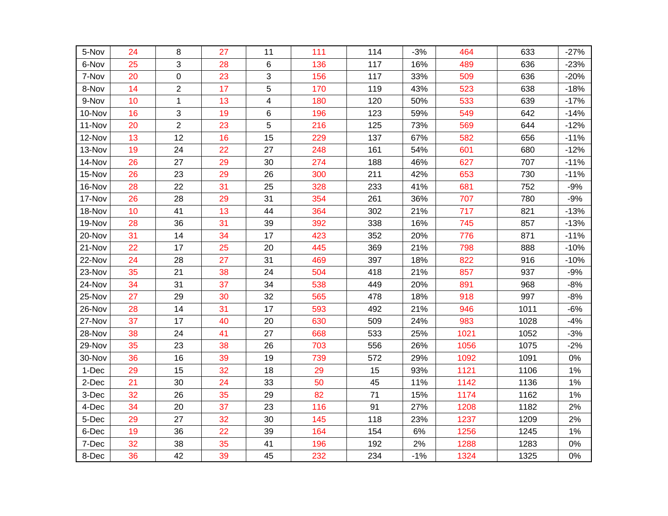| 5-Nov  | 24 | 8              | 27 | 11                      | 111 | 114 | $-3%$ | 464  | 633  | $-27%$ |
|--------|----|----------------|----|-------------------------|-----|-----|-------|------|------|--------|
| 6-Nov  | 25 | 3              | 28 | 6                       | 136 | 117 | 16%   | 489  | 636  | $-23%$ |
| 7-Nov  | 20 | 0              | 23 | 3                       | 156 | 117 | 33%   | 509  | 636  | $-20%$ |
| 8-Nov  | 14 | $\overline{2}$ | 17 | 5                       | 170 | 119 | 43%   | 523  | 638  | $-18%$ |
| 9-Nov  | 10 | $\mathbf{1}$   | 13 | $\overline{\mathbf{4}}$ | 180 | 120 | 50%   | 533  | 639  | $-17%$ |
| 10-Nov | 16 | 3              | 19 | 6                       | 196 | 123 | 59%   | 549  | 642  | $-14%$ |
| 11-Nov | 20 | $\overline{2}$ | 23 | 5                       | 216 | 125 | 73%   | 569  | 644  | $-12%$ |
| 12-Nov | 13 | 12             | 16 | 15                      | 229 | 137 | 67%   | 582  | 656  | $-11%$ |
| 13-Nov | 19 | 24             | 22 | 27                      | 248 | 161 | 54%   | 601  | 680  | $-12%$ |
| 14-Nov | 26 | 27             | 29 | 30                      | 274 | 188 | 46%   | 627  | 707  | $-11%$ |
| 15-Nov | 26 | 23             | 29 | 26                      | 300 | 211 | 42%   | 653  | 730  | $-11%$ |
| 16-Nov | 28 | 22             | 31 | 25                      | 328 | 233 | 41%   | 681  | 752  | $-9%$  |
| 17-Nov | 26 | 28             | 29 | 31                      | 354 | 261 | 36%   | 707  | 780  | $-9%$  |
| 18-Nov | 10 | 41             | 13 | 44                      | 364 | 302 | 21%   | 717  | 821  | $-13%$ |
| 19-Nov | 28 | 36             | 31 | 39                      | 392 | 338 | 16%   | 745  | 857  | $-13%$ |
| 20-Nov | 31 | 14             | 34 | 17                      | 423 | 352 | 20%   | 776  | 871  | $-11%$ |
| 21-Nov | 22 | 17             | 25 | 20                      | 445 | 369 | 21%   | 798  | 888  | $-10%$ |
| 22-Nov | 24 | 28             | 27 | 31                      | 469 | 397 | 18%   | 822  | 916  | $-10%$ |
| 23-Nov | 35 | 21             | 38 | 24                      | 504 | 418 | 21%   | 857  | 937  | $-9%$  |
| 24-Nov | 34 | 31             | 37 | 34                      | 538 | 449 | 20%   | 891  | 968  | $-8%$  |
| 25-Nov | 27 | 29             | 30 | 32                      | 565 | 478 | 18%   | 918  | 997  | $-8%$  |
| 26-Nov | 28 | 14             | 31 | 17                      | 593 | 492 | 21%   | 946  | 1011 | $-6%$  |
| 27-Nov | 37 | 17             | 40 | 20                      | 630 | 509 | 24%   | 983  | 1028 | $-4%$  |
| 28-Nov | 38 | 24             | 41 | 27                      | 668 | 533 | 25%   | 1021 | 1052 | $-3%$  |
| 29-Nov | 35 | 23             | 38 | 26                      | 703 | 556 | 26%   | 1056 | 1075 | $-2%$  |
| 30-Nov | 36 | 16             | 39 | 19                      | 739 | 572 | 29%   | 1092 | 1091 | 0%     |
| 1-Dec  | 29 | 15             | 32 | 18                      | 29  | 15  | 93%   | 1121 | 1106 | 1%     |
| 2-Dec  | 21 | 30             | 24 | 33                      | 50  | 45  | 11%   | 1142 | 1136 | 1%     |
| 3-Dec  | 32 | 26             | 35 | 29                      | 82  | 71  | 15%   | 1174 | 1162 | 1%     |
| 4-Dec  | 34 | 20             | 37 | 23                      | 116 | 91  | 27%   | 1208 | 1182 | 2%     |
| 5-Dec  | 29 | 27             | 32 | 30                      | 145 | 118 | 23%   | 1237 | 1209 | 2%     |
| 6-Dec  | 19 | 36             | 22 | 39                      | 164 | 154 | 6%    | 1256 | 1245 | 1%     |
| 7-Dec  | 32 | 38             | 35 | 41                      | 196 | 192 | 2%    | 1288 | 1283 | 0%     |
| 8-Dec  | 36 | 42             | 39 | 45                      | 232 | 234 | $-1%$ | 1324 | 1325 | 0%     |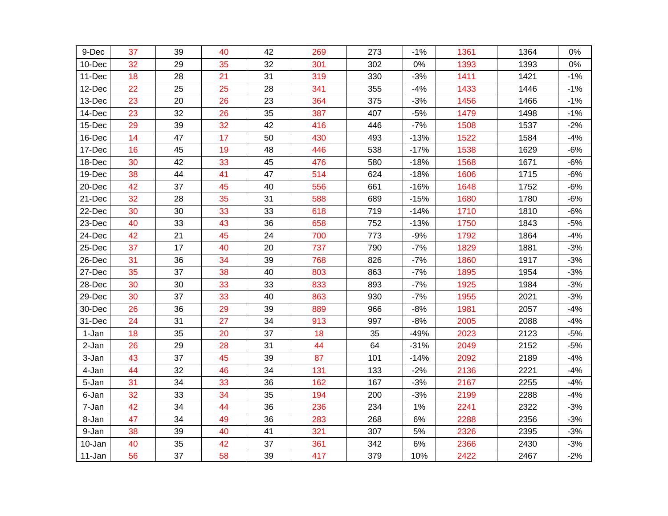| 9-Dec  | 37 | 39 | 40 | 42 | 269 | 273 | $-1%$  | 1361 | 1364 | 0%    |
|--------|----|----|----|----|-----|-----|--------|------|------|-------|
| 10-Dec | 32 | 29 | 35 | 32 | 301 | 302 | $0\%$  | 1393 | 1393 | 0%    |
| 11-Dec | 18 | 28 | 21 | 31 | 319 | 330 | $-3%$  | 1411 | 1421 | $-1%$ |
| 12-Dec | 22 | 25 | 25 | 28 | 341 | 355 | $-4%$  | 1433 | 1446 | $-1%$ |
|        |    | 20 |    | 23 | 364 |     |        |      |      |       |
| 13-Dec | 23 |    | 26 |    |     | 375 | $-3%$  | 1456 | 1466 | $-1%$ |
| 14-Dec | 23 | 32 | 26 | 35 | 387 | 407 | $-5%$  | 1479 | 1498 | $-1%$ |
| 15-Dec | 29 | 39 | 32 | 42 | 416 | 446 | $-7%$  | 1508 | 1537 | $-2%$ |
| 16-Dec | 14 | 47 | 17 | 50 | 430 | 493 | $-13%$ | 1522 | 1584 | $-4%$ |
| 17-Dec | 16 | 45 | 19 | 48 | 446 | 538 | $-17%$ | 1538 | 1629 | $-6%$ |
| 18-Dec | 30 | 42 | 33 | 45 | 476 | 580 | $-18%$ | 1568 | 1671 | $-6%$ |
| 19-Dec | 38 | 44 | 41 | 47 | 514 | 624 | $-18%$ | 1606 | 1715 | $-6%$ |
| 20-Dec | 42 | 37 | 45 | 40 | 556 | 661 | $-16%$ | 1648 | 1752 | $-6%$ |
| 21-Dec | 32 | 28 | 35 | 31 | 588 | 689 | $-15%$ | 1680 | 1780 | $-6%$ |
| 22-Dec | 30 | 30 | 33 | 33 | 618 | 719 | $-14%$ | 1710 | 1810 | $-6%$ |
| 23-Dec | 40 | 33 | 43 | 36 | 658 | 752 | $-13%$ | 1750 | 1843 | $-5%$ |
| 24-Dec | 42 | 21 | 45 | 24 | 700 | 773 | $-9%$  | 1792 | 1864 | $-4%$ |
| 25-Dec | 37 | 17 | 40 | 20 | 737 | 790 | $-7%$  | 1829 | 1881 | $-3%$ |
| 26-Dec | 31 | 36 | 34 | 39 | 768 | 826 | $-7%$  | 1860 | 1917 | $-3%$ |
| 27-Dec | 35 | 37 | 38 | 40 | 803 | 863 | $-7%$  | 1895 | 1954 | $-3%$ |
| 28-Dec | 30 | 30 | 33 | 33 | 833 | 893 | $-7%$  | 1925 | 1984 | $-3%$ |
| 29-Dec | 30 | 37 | 33 | 40 | 863 | 930 | $-7%$  | 1955 | 2021 | $-3%$ |
| 30-Dec | 26 | 36 | 29 | 39 | 889 | 966 | $-8%$  | 1981 | 2057 | $-4%$ |
| 31-Dec | 24 | 31 | 27 | 34 | 913 | 997 | $-8%$  | 2005 | 2088 | $-4%$ |
| 1-Jan  | 18 | 35 | 20 | 37 | 18  | 35  | $-49%$ | 2023 | 2123 | $-5%$ |
| 2-Jan  | 26 | 29 | 28 | 31 | 44  | 64  | $-31%$ | 2049 | 2152 | $-5%$ |
| 3-Jan  | 43 | 37 | 45 | 39 | 87  | 101 | $-14%$ | 2092 | 2189 | $-4%$ |
| 4-Jan  | 44 | 32 | 46 | 34 | 131 | 133 | $-2%$  | 2136 | 2221 | $-4%$ |
| 5-Jan  | 31 | 34 | 33 | 36 | 162 | 167 | $-3%$  | 2167 | 2255 | $-4%$ |
| 6-Jan  | 32 | 33 | 34 | 35 | 194 | 200 | $-3%$  | 2199 | 2288 | $-4%$ |
| 7-Jan  | 42 | 34 | 44 | 36 | 236 | 234 | 1%     | 2241 | 2322 | $-3%$ |
| 8-Jan  | 47 | 34 | 49 | 36 | 283 | 268 | 6%     | 2288 | 2356 | $-3%$ |
| 9-Jan  | 38 | 39 | 40 | 41 | 321 | 307 | $5%$   | 2326 | 2395 | $-3%$ |
| 10-Jan | 40 | 35 | 42 | 37 | 361 | 342 | 6%     | 2366 | 2430 | $-3%$ |
| 11-Jan | 56 | 37 | 58 | 39 | 417 | 379 | 10%    | 2422 | 2467 | $-2%$ |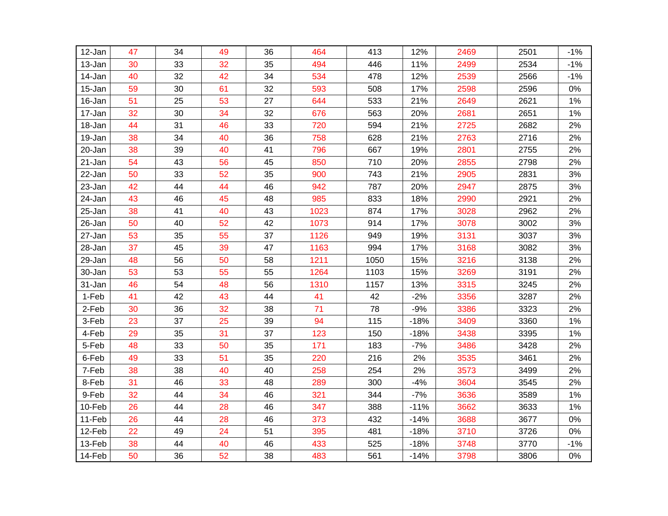| 12-Jan  | 47 | 34 | 49 | 36 | 464  | 413  | 12%    | 2469 | 2501 | $-1%$ |
|---------|----|----|----|----|------|------|--------|------|------|-------|
| 13-Jan  | 30 | 33 | 32 | 35 | 494  | 446  | 11%    | 2499 | 2534 | $-1%$ |
| 14-Jan  | 40 | 32 | 42 | 34 | 534  | 478  | 12%    | 2539 | 2566 | $-1%$ |
| 15-Jan  | 59 | 30 | 61 | 32 | 593  | 508  | 17%    | 2598 | 2596 | $0\%$ |
| 16-Jan  | 51 | 25 | 53 | 27 | 644  | 533  | 21%    | 2649 | 2621 | 1%    |
| 17-Jan  | 32 | 30 | 34 | 32 | 676  | 563  | 20%    | 2681 | 2651 | 1%    |
| 18-Jan  | 44 | 31 | 46 | 33 | 720  | 594  | 21%    | 2725 | 2682 | 2%    |
| 19-Jan  | 38 | 34 | 40 | 36 | 758  | 628  | 21%    | 2763 | 2716 | 2%    |
| 20-Jan  | 38 | 39 | 40 | 41 | 796  | 667  | 19%    | 2801 | 2755 | 2%    |
| 21-Jan  | 54 | 43 | 56 | 45 | 850  | 710  | 20%    | 2855 | 2798 | 2%    |
| 22-Jan  | 50 | 33 | 52 | 35 | 900  | 743  | 21%    | 2905 | 2831 | 3%    |
| 23-Jan  | 42 | 44 | 44 | 46 | 942  | 787  | 20%    | 2947 | 2875 | 3%    |
| 24-Jan  | 43 | 46 | 45 | 48 | 985  | 833  | 18%    | 2990 | 2921 | 2%    |
| 25-Jan  | 38 | 41 | 40 | 43 | 1023 | 874  | 17%    | 3028 | 2962 | 2%    |
| 26-Jan  | 50 | 40 | 52 | 42 | 1073 | 914  | 17%    | 3078 | 3002 | 3%    |
| 27-Jan  | 53 | 35 | 55 | 37 | 1126 | 949  | 19%    | 3131 | 3037 | 3%    |
| 28-Jan  | 37 | 45 | 39 | 47 | 1163 | 994  | 17%    | 3168 | 3082 | 3%    |
| 29-Jan  | 48 | 56 | 50 | 58 | 1211 | 1050 | 15%    | 3216 | 3138 | 2%    |
| 30-Jan  | 53 | 53 | 55 | 55 | 1264 | 1103 | 15%    | 3269 | 3191 | 2%    |
| 31-Jan  | 46 | 54 | 48 | 56 | 1310 | 1157 | 13%    | 3315 | 3245 | 2%    |
| $1-Feb$ | 41 | 42 | 43 | 44 | 41   | 42   | $-2%$  | 3356 | 3287 | 2%    |
| $2-Feb$ | 30 | 36 | 32 | 38 | 71   | 78   | $-9%$  | 3386 | 3323 | 2%    |
| 3-Feb   | 23 | 37 | 25 | 39 | 94   | 115  | $-18%$ | 3409 | 3360 | 1%    |
| 4-Feb   | 29 | 35 | 31 | 37 | 123  | 150  | $-18%$ | 3438 | 3395 | 1%    |
| 5-Feb   | 48 | 33 | 50 | 35 | 171  | 183  | $-7%$  | 3486 | 3428 | 2%    |
| 6-Feb   | 49 | 33 | 51 | 35 | 220  | 216  | 2%     | 3535 | 3461 | 2%    |
| 7-Feb   | 38 | 38 | 40 | 40 | 258  | 254  | 2%     | 3573 | 3499 | 2%    |
| 8-Feb   | 31 | 46 | 33 | 48 | 289  | 300  | $-4%$  | 3604 | 3545 | 2%    |
| 9-Feb   | 32 | 44 | 34 | 46 | 321  | 344  | $-7%$  | 3636 | 3589 | 1%    |
| 10-Feb  | 26 | 44 | 28 | 46 | 347  | 388  | $-11%$ | 3662 | 3633 | 1%    |
| 11-Feb  | 26 | 44 | 28 | 46 | 373  | 432  | $-14%$ | 3688 | 3677 | 0%    |
| 12-Feb  | 22 | 49 | 24 | 51 | 395  | 481  | $-18%$ | 3710 | 3726 | 0%    |
| 13-Feb  | 38 | 44 | 40 | 46 | 433  | 525  | $-18%$ | 3748 | 3770 | $-1%$ |
| 14-Feb  | 50 | 36 | 52 | 38 | 483  | 561  | $-14%$ | 3798 | 3806 | $0\%$ |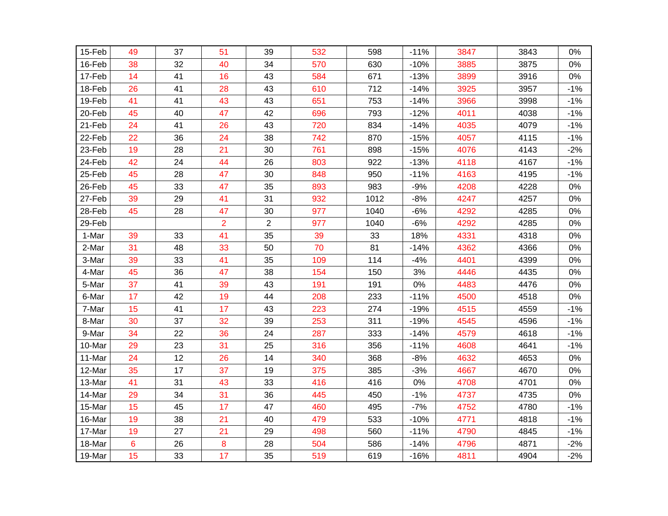| 15-Feb | 49             | 37 | 51                      | 39             | 532 | 598  | $-11%$ | 3847 | 3843 | 0%    |
|--------|----------------|----|-------------------------|----------------|-----|------|--------|------|------|-------|
| 16-Feb | 38             | 32 | 40                      | 34             | 570 | 630  | $-10%$ | 3885 | 3875 | 0%    |
| 17-Feb | 14             | 41 | 16                      | 43             | 584 | 671  | $-13%$ | 3899 | 3916 | $0\%$ |
| 18-Feb | 26             | 41 | 28                      | 43             | 610 | 712  | $-14%$ | 3925 | 3957 | $-1%$ |
| 19-Feb | 41             | 41 | 43                      | 43             | 651 | 753  | $-14%$ | 3966 | 3998 | $-1%$ |
| 20-Feb | 45             | 40 | 47                      | 42             | 696 | 793  | $-12%$ | 4011 | 4038 | $-1%$ |
| 21-Feb | 24             | 41 | 26                      | 43             | 720 | 834  | $-14%$ | 4035 | 4079 | $-1%$ |
| 22-Feb | 22             | 36 | 24                      | 38             | 742 | 870  | $-15%$ | 4057 | 4115 | $-1%$ |
| 23-Feb | 19             | 28 | 21                      | 30             | 761 | 898  | $-15%$ | 4076 | 4143 | $-2%$ |
| 24-Feb | 42             | 24 | 44                      | 26             | 803 | 922  | $-13%$ | 4118 | 4167 | $-1%$ |
| 25-Feb | 45             | 28 | 47                      | 30             | 848 | 950  | $-11%$ | 4163 | 4195 | $-1%$ |
| 26-Feb | 45             | 33 | 47                      | 35             | 893 | 983  | $-9%$  | 4208 | 4228 | 0%    |
| 27-Feb | 39             | 29 | 41                      | 31             | 932 | 1012 | $-8%$  | 4247 | 4257 | 0%    |
| 28-Feb | 45             | 28 | 47                      | 30             | 977 | 1040 | $-6%$  | 4292 | 4285 | 0%    |
| 29-Feb |                |    | $\overline{\mathbf{c}}$ | $\overline{2}$ | 977 | 1040 | $-6%$  | 4292 | 4285 | 0%    |
| 1-Mar  | 39             | 33 | 41                      | 35             | 39  | 33   | 18%    | 4331 | 4318 | 0%    |
| 2-Mar  | 31             | 48 | 33                      | 50             | 70  | 81   | $-14%$ | 4362 | 4366 | 0%    |
| 3-Mar  | 39             | 33 | 41                      | 35             | 109 | 114  | $-4%$  | 4401 | 4399 | 0%    |
| 4-Mar  | 45             | 36 | 47                      | 38             | 154 | 150  | 3%     | 4446 | 4435 | 0%    |
| 5-Mar  | 37             | 41 | 39                      | 43             | 191 | 191  | 0%     | 4483 | 4476 | 0%    |
| 6-Mar  | 17             | 42 | 19                      | 44             | 208 | 233  | $-11%$ | 4500 | 4518 | 0%    |
| 7-Mar  | 15             | 41 | 17                      | 43             | 223 | 274  | $-19%$ | 4515 | 4559 | $-1%$ |
| 8-Mar  | 30             | 37 | 32                      | 39             | 253 | 311  | $-19%$ | 4545 | 4596 | $-1%$ |
| 9-Mar  | 34             | 22 | 36                      | 24             | 287 | 333  | $-14%$ | 4579 | 4618 | $-1%$ |
| 10-Mar | 29             | 23 | 31                      | 25             | 316 | 356  | $-11%$ | 4608 | 4641 | $-1%$ |
| 11-Mar | 24             | 12 | 26                      | 14             | 340 | 368  | $-8%$  | 4632 | 4653 | 0%    |
| 12-Mar | 35             | 17 | 37                      | 19             | 375 | 385  | $-3%$  | 4667 | 4670 | 0%    |
| 13-Mar | 41             | 31 | 43                      | 33             | 416 | 416  | 0%     | 4708 | 4701 | 0%    |
| 14-Mar | 29             | 34 | 31                      | 36             | 445 | 450  | $-1%$  | 4737 | 4735 | 0%    |
| 15-Mar | 15             | 45 | 17                      | 47             | 460 | 495  | $-7%$  | 4752 | 4780 | $-1%$ |
| 16-Mar | 19             | 38 | 21                      | 40             | 479 | 533  | $-10%$ | 4771 | 4818 | $-1%$ |
| 17-Mar | 19             | 27 | 21                      | 29             | 498 | 560  | $-11%$ | 4790 | 4845 | $-1%$ |
| 18-Mar | $6\phantom{1}$ | 26 | 8                       | 28             | 504 | 586  | $-14%$ | 4796 | 4871 | $-2%$ |
| 19-Mar | 15             | 33 | 17                      | 35             | 519 | 619  | $-16%$ | 4811 | 4904 | $-2%$ |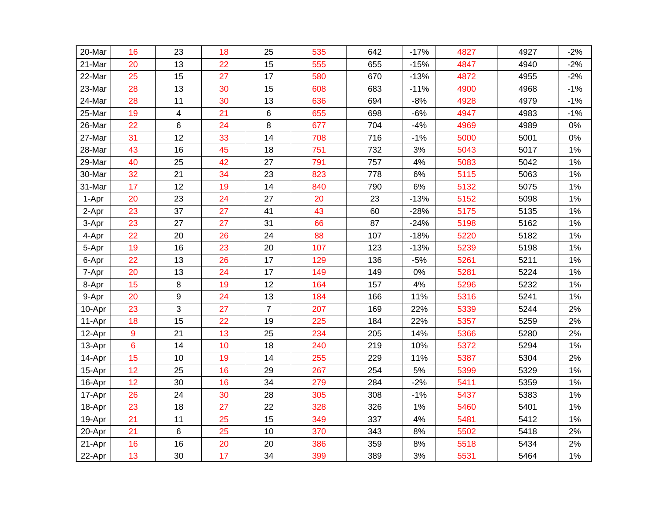| 20-Mar | 16             | 23 | 18 | 25             | 535 | 642 | $-17%$ | 4827 | 4927 | $-2%$ |
|--------|----------------|----|----|----------------|-----|-----|--------|------|------|-------|
| 21-Mar | 20             | 13 | 22 | 15             | 555 | 655 | $-15%$ | 4847 | 4940 | $-2%$ |
| 22-Mar | 25             | 15 | 27 | 17             | 580 | 670 | $-13%$ | 4872 | 4955 | $-2%$ |
| 23-Mar | 28             | 13 | 30 | 15             | 608 | 683 | $-11%$ | 4900 | 4968 | $-1%$ |
| 24-Mar | 28             | 11 | 30 | 13             | 636 | 694 | $-8%$  | 4928 | 4979 | $-1%$ |
| 25-Mar | 19             | 4  | 21 | 6              | 655 | 698 | $-6%$  | 4947 | 4983 | $-1%$ |
| 26-Mar | 22             | 6  | 24 | 8              | 677 | 704 | $-4%$  | 4969 | 4989 | 0%    |
| 27-Mar | 31             | 12 | 33 | 14             | 708 | 716 | $-1%$  | 5000 | 5001 | 0%    |
| 28-Mar | 43             | 16 | 45 | 18             | 751 | 732 | 3%     | 5043 | 5017 | 1%    |
| 29-Mar | 40             | 25 | 42 | 27             | 791 | 757 | 4%     | 5083 | 5042 | 1%    |
| 30-Mar | 32             | 21 | 34 | 23             | 823 | 778 | 6%     | 5115 | 5063 | 1%    |
| 31-Mar | 17             | 12 | 19 | 14             | 840 | 790 | 6%     | 5132 | 5075 | 1%    |
| 1-Apr  | 20             | 23 | 24 | 27             | 20  | 23  | $-13%$ | 5152 | 5098 | 1%    |
| 2-Apr  | 23             | 37 | 27 | 41             | 43  | 60  | $-28%$ | 5175 | 5135 | 1%    |
| 3-Apr  | 23             | 27 | 27 | 31             | 66  | 87  | $-24%$ | 5198 | 5162 | 1%    |
| 4-Apr  | 22             | 20 | 26 | 24             | 88  | 107 | $-18%$ | 5220 | 5182 | 1%    |
| 5-Apr  | 19             | 16 | 23 | 20             | 107 | 123 | $-13%$ | 5239 | 5198 | 1%    |
| 6-Apr  | 22             | 13 | 26 | 17             | 129 | 136 | $-5%$  | 5261 | 5211 | 1%    |
| 7-Apr  | 20             | 13 | 24 | 17             | 149 | 149 | $0\%$  | 5281 | 5224 | 1%    |
| 8-Apr  | 15             | 8  | 19 | 12             | 164 | 157 | 4%     | 5296 | 5232 | 1%    |
| 9-Apr  | 20             | 9  | 24 | 13             | 184 | 166 | 11%    | 5316 | 5241 | $1\%$ |
| 10-Apr | 23             | 3  | 27 | $\overline{7}$ | 207 | 169 | 22%    | 5339 | 5244 | 2%    |
| 11-Apr | 18             | 15 | 22 | 19             | 225 | 184 | 22%    | 5357 | 5259 | 2%    |
| 12-Apr | 9              | 21 | 13 | 25             | 234 | 205 | 14%    | 5366 | 5280 | 2%    |
| 13-Apr | $6\phantom{a}$ | 14 | 10 | 18             | 240 | 219 | 10%    | 5372 | 5294 | 1%    |
| 14-Apr | 15             | 10 | 19 | 14             | 255 | 229 | 11%    | 5387 | 5304 | 2%    |
| 15-Apr | 12             | 25 | 16 | 29             | 267 | 254 | 5%     | 5399 | 5329 | 1%    |
| 16-Apr | 12             | 30 | 16 | 34             | 279 | 284 | $-2%$  | 5411 | 5359 | 1%    |
| 17-Apr | 26             | 24 | 30 | 28             | 305 | 308 | $-1%$  | 5437 | 5383 | 1%    |
| 18-Apr | 23             | 18 | 27 | 22             | 328 | 326 | 1%     | 5460 | 5401 | 1%    |
| 19-Apr | 21             | 11 | 25 | 15             | 349 | 337 | $4\%$  | 5481 | 5412 | 1%    |
| 20-Apr | 21             | 6  | 25 | 10             | 370 | 343 | 8%     | 5502 | 5418 | 2%    |
| 21-Apr | 16             | 16 | 20 | 20             | 386 | 359 | 8%     | 5518 | 5434 | 2%    |
| 22-Apr | 13             | 30 | 17 | 34             | 399 | 389 | 3%     | 5531 | 5464 | 1%    |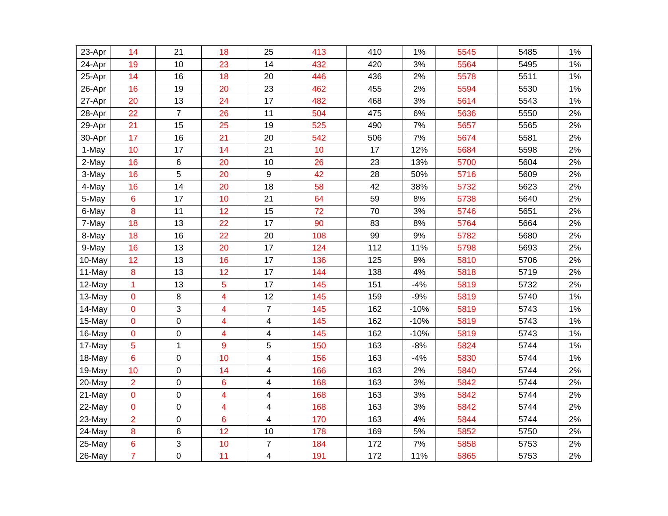| 23-Apr | 14             | 21             | 18 | 25                      | 413 | 410 | 1%     | 5545 | 5485 | 1% |
|--------|----------------|----------------|----|-------------------------|-----|-----|--------|------|------|----|
| 24-Apr | 19             | 10             | 23 | 14                      | 432 | 420 | 3%     | 5564 | 5495 | 1% |
| 25-Apr | 14             | 16             | 18 | 20                      | 446 | 436 | 2%     | 5578 | 5511 | 1% |
| 26-Apr | 16             | 19             | 20 | 23                      | 462 | 455 | 2%     | 5594 | 5530 | 1% |
| 27-Apr | 20             | 13             | 24 | 17                      | 482 | 468 | 3%     | 5614 | 5543 | 1% |
| 28-Apr | 22             | $\overline{7}$ | 26 | 11                      | 504 | 475 | 6%     | 5636 | 5550 | 2% |
| 29-Apr | 21             | 15             | 25 | 19                      | 525 | 490 | 7%     | 5657 | 5565 | 2% |
| 30-Apr | 17             | 16             | 21 | 20                      | 542 | 506 | 7%     | 5674 | 5581 | 2% |
| 1-May  | 10             | 17             | 14 | 21                      | 10  | 17  | 12%    | 5684 | 5598 | 2% |
| 2-May  | 16             | 6              | 20 | 10                      | 26  | 23  | 13%    | 5700 | 5604 | 2% |
| 3-May  | 16             | 5              | 20 | 9                       | 42  | 28  | 50%    | 5716 | 5609 | 2% |
| 4-May  | 16             | 14             | 20 | 18                      | 58  | 42  | 38%    | 5732 | 5623 | 2% |
| 5-May  | $6\phantom{1}$ | 17             | 10 | 21                      | 64  | 59  | 8%     | 5738 | 5640 | 2% |
| 6-May  | 8              | 11             | 12 | 15                      | 72  | 70  | 3%     | 5746 | 5651 | 2% |
| 7-May  | 18             | 13             | 22 | 17                      | 90  | 83  | 8%     | 5764 | 5664 | 2% |
| 8-May  | 18             | 16             | 22 | 20                      | 108 | 99  | 9%     | 5782 | 5680 | 2% |
| 9-May  | 16             | 13             | 20 | 17                      | 124 | 112 | 11%    | 5798 | 5693 | 2% |
| 10-May | 12             | 13             | 16 | 17                      | 136 | 125 | 9%     | 5810 | 5706 | 2% |
| 11-May | $\bf 8$        | 13             | 12 | 17                      | 144 | 138 | 4%     | 5818 | 5719 | 2% |
| 12-May | $\mathbf{1}$   | 13             | 5  | 17                      | 145 | 151 | $-4%$  | 5819 | 5732 | 2% |
| 13-May | $\mathbf 0$    | 8              | 4  | 12                      | 145 | 159 | $-9%$  | 5819 | 5740 | 1% |
| 14-May | $\mathbf 0$    | 3              | 4  | $\overline{7}$          | 145 | 162 | $-10%$ | 5819 | 5743 | 1% |
| 15-May | $\mathbf 0$    | 0              | 4  | 4                       | 145 | 162 | $-10%$ | 5819 | 5743 | 1% |
| 16-May | $\mathbf 0$    | 0              | 4  | $\overline{\mathbf{4}}$ | 145 | 162 | $-10%$ | 5819 | 5743 | 1% |
| 17-May | 5              | 1              | 9  | 5                       | 150 | 163 | $-8%$  | 5824 | 5744 | 1% |
| 18-May | $6\phantom{1}$ | 0              | 10 | 4                       | 156 | 163 | $-4%$  | 5830 | 5744 | 1% |
| 19-May | 10             | 0              | 14 | 4                       | 166 | 163 | 2%     | 5840 | 5744 | 2% |
| 20-May | $\overline{2}$ | 0              | 6  | 4                       | 168 | 163 | 3%     | 5842 | 5744 | 2% |
| 21-May | $\mathbf 0$    | 0              | 4  | 4                       | 168 | 163 | 3%     | 5842 | 5744 | 2% |
| 22-May | $\mathbf 0$    | $\mathsf 0$    | 4  | 4                       | 168 | 163 | 3%     | 5842 | 5744 | 2% |
| 23-May | $\overline{2}$ | 0              | 6  | 4                       | 170 | 163 | 4%     | 5844 | 5744 | 2% |
| 24-May | $\bf 8$        | 6              | 12 | 10                      | 178 | 169 | 5%     | 5852 | 5750 | 2% |
| 25-May | $6\phantom{1}$ | 3              | 10 | 7                       | 184 | 172 | 7%     | 5858 | 5753 | 2% |
| 26-May | $\overline{7}$ | 0              | 11 | $\overline{\mathbf{4}}$ | 191 | 172 | 11%    | 5865 | 5753 | 2% |